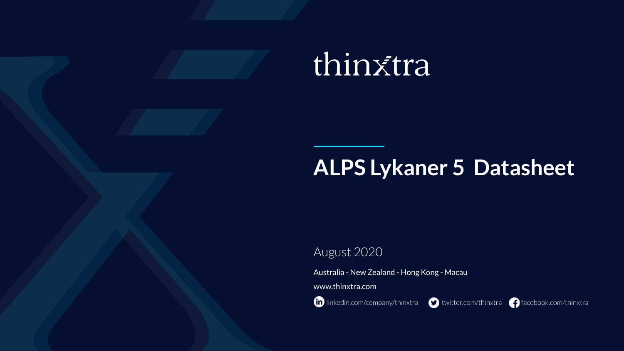# thinxtra

# **ALPS Lykaner 5 Datasheet**

# August 2020

Australia - New Zealand - Hong Kong - Macau

www.thinxtra.com

**in** [linkedin.com/company/thinxtra](http://linkedin.com/company/thinxtra) **the state of the [twitter.com/thinxtra](http://twitter.com/thinxtra)** [facebook.com/thinxtra](http://facebook.com/thinxtra)

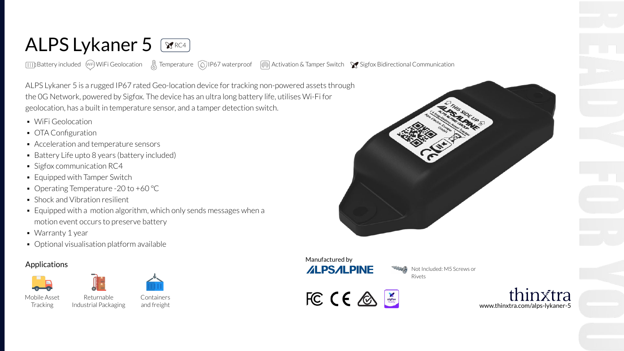# ALPS Lykaner 5

 $\Box$ Battery included WF) WiFi Geolocation  $\Box$  Temperature  $\Box$ IP67 waterproof  $\Box$  Activation & Tamper Switch  $\lor$  Sigfox Bidirectional Communication

ALPS Lykaner 5 is a rugged IP67 rated Geo-location device for tracking non-powered assets through the 0G Network, powered by Sigfox. The device has an ultra long battery life, utilises Wi-Fi for geolocation, has a built in temperature sensor, and a tamper detection switch.

- WiFi Geolocation
- OTA Configuration
- Acceleration and temperature sensors
- Battery Life upto 8 years (battery included)
- Sigfox communication RC4
- Equipped with Tamper Switch
- Operating Temperature -20 to +60 °C
- Shock and Vibration resilient
- Equipped with a motion algorithm, which only sends messages when a motion event occurs to preserve battery
- Warranty 1 year
- Optional visualisation platform available

Returnable

# Applications







Mobile Asset Tracking Industrial Packaging

**Containers** and freight





Not Included: M5 Screws or Rivets



in¥tra www.thinxtra.com/alps-lykaner-5